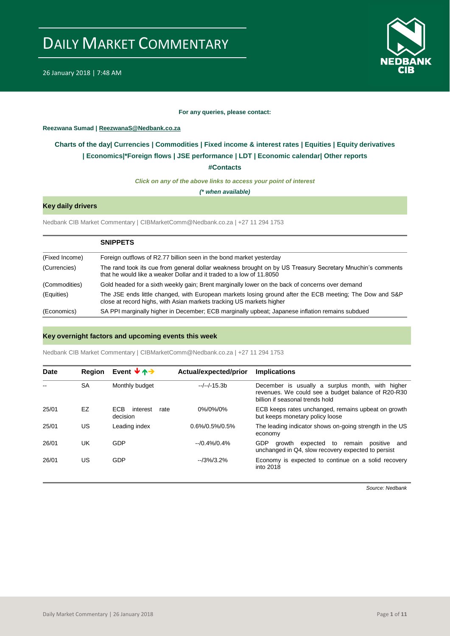



### **For any queries, please contact:**

### <span id="page-0-0"></span>**Reezwana Sumad | ReezwanaS@Nedbank.co.za**

### **Charts of the day| [Currencies](#page-2-0) [| Commodities](#page-3-0) | [Fixed income & interest rates](#page-1-0) | [Equities](#page-4-0) | Equity derivatives | [Economics|\\*](#page-7-0)Foreign flows | JSE performance | [LDT](#page-5-0) | [Economic calendar|](#page-8-0) Other reports**

**[#Contacts](#page-9-0)**

*Click on any of the above links to access your point of interest*

*(\* when available)*

### **Key daily drivers**

Nedbank CIB Market Commentary | CIBMarketComm@Nedbank.co.za | +27 11 294 1753

|                | <b>SNIPPETS</b>                                                                                                                                                                   |
|----------------|-----------------------------------------------------------------------------------------------------------------------------------------------------------------------------------|
| (Fixed Income) | Foreign outflows of R2.77 billion seen in the bond market yesterday                                                                                                               |
| (Currencies)   | The rand took its cue from general dollar weakness brought on by US Treasury Secretary Mnuchin's comments<br>that he would like a weaker Dollar and it traded to a low of 11,8050 |
| (Commodities)  | Gold headed for a sixth weekly gain; Brent marginally lower on the back of concerns over demand                                                                                   |
| (Equities)     | The JSE ends little changed, with European markets losing ground after the ECB meeting; The Dow and S&P<br>close at record highs, with Asian markets tracking US markets higher   |
| (Economics)    | SA PPI marginally higher in December; ECB marginally upbeat; Japanese inflation remains subdued                                                                                   |

### **Key overnight factors and upcoming events this week**

Nedbank CIB Market Commentary | CIBMarketComm@Nedbank.co.za | +27 11 294 1753

| Date  | Region    | Event $\forall$ $\land \rightarrow$  | Actual/expected/prior | <b>Implications</b>                                                                                                                       |
|-------|-----------|--------------------------------------|-----------------------|-------------------------------------------------------------------------------------------------------------------------------------------|
|       | <b>SA</b> | Monthly budget                       | $-/-/-15.3b$          | December is usually a surplus month, with higher<br>revenues. We could see a budget balance of R20-R30<br>billion if seasonal trends hold |
| 25/01 | EZ        | ECB.<br>interest<br>rate<br>decision | 0%/0%/0%              | ECB keeps rates unchanged, remains upbeat on growth<br>but keeps monetary policy loose                                                    |
| 25/01 | US        | Leading index                        | $0.6\%/0.5\%/0.5\%$   | The leading indicator shows on-going strength in the US<br>economy                                                                        |
| 26/01 | UK        | <b>GDP</b>                           | $-10.4\%/0.4\%$       | <b>GDP</b><br>growth expected<br>to<br>remain<br>positive<br>and<br>unchanged in Q4, slow recovery expected to persist                    |
| 26/01 | US        | GDP                                  | $-13\%/3.2\%$         | Economy is expected to continue on a solid recovery<br>into 2018                                                                          |

*Source: Nedbank*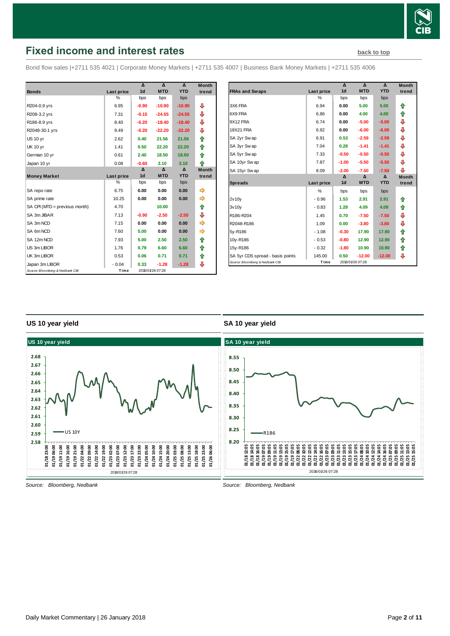

# <span id="page-1-0"></span>**Fixed income and interest rates [back to top](#page-0-0) back to top**

Bond flow sales |+2711 535 4021 | Corporate Money Markets | +2711 535 4007 | Business Bank Money Markets | +2711 535 4006

|                                 |               | Δ              | $\Lambda$        | $\Lambda$  | <b>Month</b> |
|---------------------------------|---------------|----------------|------------------|------------|--------------|
| <b>Bonds</b>                    | Last price    | 1 <sub>d</sub> | <b>MTD</b>       | <b>YTD</b> | trend        |
|                                 | $\frac{0}{0}$ | bps            | bps              | bps        |              |
| R204-0.9 yrs                    | 6.95          | $-0.90$        | $-10.90$         | $-10.90$   | ⊕            |
| R208-3.2 yrs                    | 7.31          | $-0.15$        | $-24.55$         | $-24.55$   | ⊕            |
| R186-8.9 yrs                    | 8.40          | $-0.20$        | $-18.40$         | $-18.40$   | ⊕            |
| R2048-30.1 yrs                  | 9.49          | $-0.20$        | $-22.20$         | $-22.20$   | ⊕            |
| <b>US 10 yr</b>                 | 2.62          | 0.40           | 21.56            | 21.56      | ⇑            |
| <b>UK 10 yr</b>                 | 1.41          | 0.50           | 22.20            | 22.20      | ⇑            |
| German 10 yr                    | 0.61          | 2.40           | 18.50            | 18.50      | ♠            |
| Japan 10 yr                     | 0.08          | $-0.60$        | 3.10             | 3.10       | ♠            |
|                                 |               | Δ              | Δ                | Δ          | <b>Month</b> |
| <b>Money Market</b>             | Last price    | 1 <sub>d</sub> | <b>MTD</b>       | <b>YTD</b> | trend        |
|                                 | %             | bps            | bps              | bps        |              |
| SA repo rate                    | 6.75          | 0.00           | 0.00             | 0.00       | ⇛            |
| SA prime rate                   | 10.25         | 0.00           | 0.00             | 0.00       | ⇛            |
| SA CPI (MTD = previous month)   | 4.70          |                | 10.00            |            | ⇑            |
| SA 3m JIBAR                     | 7.13          | $-0.90$        | $-2.50$          | $-2.50$    | ⊕            |
| SA 3m NCD                       | 7.15          | 0.00           | 0.00             | 0.00       |              |
| SA 6m NCD                       | 7.60          | 5.00           | 0.00             | 0.00       | ⇛            |
| SA 12m NCD                      | 7.93          | 5.00           | 2.50             | 2.50       | ⇑            |
| US 3m LIBOR                     | 1.76          | 0.79           | 6.60             | 6.60       | ⇑            |
| UK 3m LIBOR                     | 0.53          | 0.06           | 0.71             | 0.71       | ⇑            |
| Japan 3m LIBOR                  | $-0.04$       | 0.33           | $-1.28$          | $-1.28$    | ⊕            |
| Source: Bloomberg & Nedbank CIB | Time          |                | 2018/01/26 07:28 |            |              |

|                                  |               | Δ              | Δ                | $\Delta$   | <b>Month</b> |
|----------------------------------|---------------|----------------|------------------|------------|--------------|
| <b>FRAs and Swaps</b>            | Last price    | 1 <sub>d</sub> | <b>MTD</b>       | <b>YTD</b> | trend        |
|                                  | %             | bps            | bps              | bps        |              |
| 3X6 FRA                          | 6.94          | 0.00           | 5.00             | 5.00       | ⇑            |
| 6X9 FRA                          | 6.86          | 0.00           | 4.00             | 4.00       | ⇑            |
| 9X12 FRA                         | 6.74          | 0.00           | $-5.00$          | $-5.00$    | ⇩            |
| <b>18X21 FRA</b>                 | 6.92          | 0.00           | $-6.00$          | $-6.00$    | ⇩            |
| SA 2yr Swap                      | 6.91          | 0.53           | $-2.59$          | $-2.59$    | ⇩            |
| SA 3yr Swap                      | 7.04          | 0.28           | $-1.41$          | $-1.41$    | ⇩            |
| SA 5yr Swap                      | 7.33          | $-0.50$        | $-0.50$          | $-0.50$    | ⊕            |
| SA 10yr Swap                     | 7.87          | $-1.00$        | $-5.50$          | $-5.50$    | ⊕            |
| SA 15yr Swap                     | 8.09          | $-2.00$        | $-7.50$          | $-7.50$    | ⊕            |
|                                  |               | $\mathbf{v}$   | $\Lambda$        | $\Lambda$  | <b>Month</b> |
| <b>Spreads</b>                   | Last price    | 1 <sub>d</sub> | <b>MTD</b>       | <b>YTD</b> | trend        |
|                                  | $\frac{0}{0}$ | bps            | bps              | bps        |              |
| 2v10v                            | $-0.96$       | 1.53           | 2.91             | 2.91       | ⇑            |
| 3v10v                            | $-0.83$       | 1.28           | 4.09             | 4.09       | ⇑            |
| R186-R204                        | 1.45          | 0.70           | $-7.50$          | $-7.50$    | ⊕            |
| R2048-R186                       | 1.09          | 0.00           | $-3.80$          | $-3.80$    | ⊕            |
| 5y-R186                          | $-1.08$       | $-0.30$        | 17.90            | 17.90      | ⇑            |
| 10y-R186                         | $-0.53$       | $-0.80$        | 12.90            | 12.90      | ⇑            |
| 15y-R186                         | $-0.32$       | $-1.80$        | 10.90            | 10.90      | ⇑            |
| SA 5yr CDS spread - basis points | 145.00        | 0.50           | $-12.00$         | $-12.00$   | ⊕            |
| Source: Bloomberg & Nedbank CIB  | Time          |                | 2018/01/26 07:28 |            |              |

### **US 10 year yield**

### **SA 10 year yield**



*Source: Bloomberg, Nedbank*

*Source: Bloomberg, Nedbank*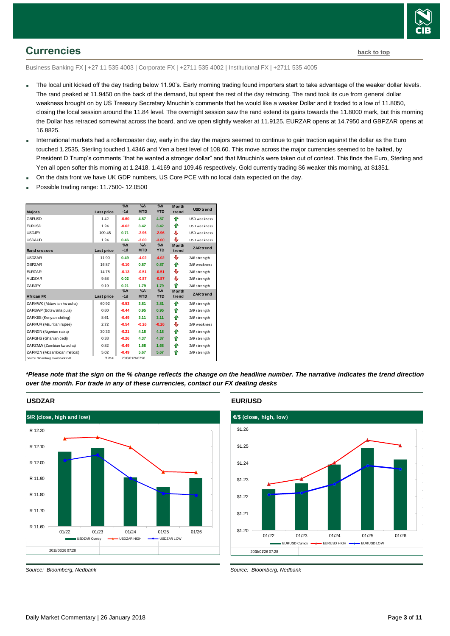

## <span id="page-2-0"></span>**Currencies [back to top](#page-0-0)**

Business Banking FX | +27 11 535 4003 | Corporate FX | +2711 535 4002 | Institutional FX | +2711 535 4005

- The local unit kicked off the day trading below 11.90's. Early morning trading found importers start to take advantage of the weaker dollar levels. The rand peaked at 11.9450 on the back of the demand, but spent the rest of the day retracing. The rand took its cue from general dollar weakness brought on by US Treasury Secretary Mnuchin's comments that he would like a weaker Dollar and it traded to a low of 11.8050, closing the local session around the 11.84 level. The overnight session saw the rand extend its gains towards the 11.8000 mark, but this morning the Dollar has retraced somewhat across the board, and we open slightly weaker at 11.9125. EURZAR opens at 14.7950 and GBPZAR opens at 16.8825.
- International markets had a rollercoaster day, early in the day the majors seemed to continue to gain traction against the dollar as the Euro touched 1.2535, Sterling touched 1.4346 and Yen a best level of 108.60. This move across the major currencies seemed to be halted, by President D Trump's comments "that he wanted a stronger dollar" and that Mnuchin's were taken out of context. This finds the Euro, Sterling and Yen all open softer this morning at 1.2418, 1.4169 and 109.46 respectively. Gold currently trading \$6 weaker this morning, at \$1351.
- On the data front we have UK GDP numbers, US Core PCE with no local data expected on the day.
- Possible trading range: 11.7500- 12.0500



*\*Please note that the sign on the % change reflects the change on the headline number. The narrative indicates the trend direction over the month. For trade in any of these currencies, contact our FX dealing desks*

### **USDZAR**



*Source: Bloomberg, Nedbank*

**EUR/USD**



*Source: Bloomberg, Nedbank*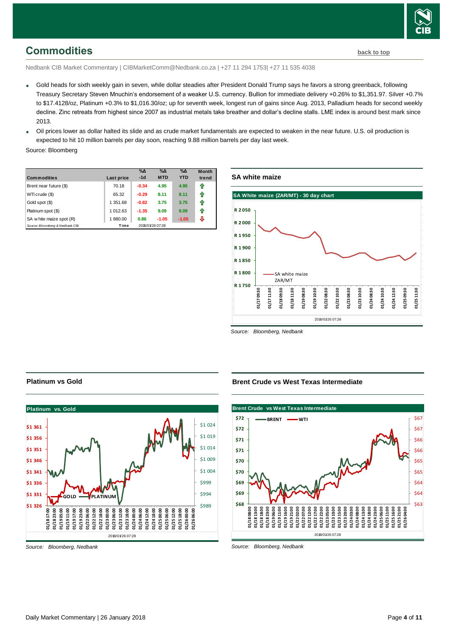

## <span id="page-3-0"></span>**Commodities [back to top](#page-0-0)**

Nedbank CIB Market Commentary | CIBMarketComm@Nedbank.co.za | +27 11 294 1753| +27 11 535 4038

- Gold heads for sixth weekly gain in seven, while dollar steadies after President Donald Trump says he favors a strong greenback, following Treasury Secretary Steven Mnuchin's endorsement of a weaker U.S. currency. Bullion for immediate delivery +0.26% to \$1,351.97. Silver +0.7% to \$17.4128/oz, Platinum +0.3% to \$1,016.30/oz; up for seventh week, longest run of gains since Aug. 2013, Palladium heads for second weekly decline. Zinc retreats from highest since 2007 as industrial metals take breather and dollar's decline stalls. LME index is around best mark since 2013.
- Oil prices lower as dollar halted its slide and as crude market fundamentals are expected to weaken in the near future. U.S. oil production is expected to hit 10 million barrels per day soon, reaching 9.88 million barrels per day last week.

Source: Bloomberg

| <b>Commodities</b>              | Last price | $\%$ $\Delta$<br>$-1d$ | $\%$ $\Delta$<br><b>MTD</b> | $\%$ $\Delta$<br><b>YTD</b> | <b>Month</b><br>trend |
|---------------------------------|------------|------------------------|-----------------------------|-----------------------------|-----------------------|
| Brent near future (\$)          | 70.18      | $-0.34$                | 4.95                        | 4.95                        | ⇑                     |
| WTI crude (\$)                  | 65.32      | $-0.29$                | 8.11                        | 8.11                        | ⇑                     |
| Gold spot (\$)                  | 1 351.68   | $-0.82$                | 3.75                        | 3.75                        | ⇑                     |
| Platinum spot (\$)              | 1 012.63   | $-1.35$                | 9.09                        | 9.09                        | ⇑                     |
| SA w hite maize spot (R)        | 1880.00    | 0.86                   | $-1.05$                     | $-1.05$                     | J                     |
| Source: Bloomberg & Nedbank CIB | Time       |                        | 2018/01/26 07:28            |                             |                       |

### **SA white maize**



*Source: Bloomberg, Nedbank*

### **Brent Crude vs West Texas Intermediate**



*Source: Bloomberg, Nedbank*

### **Platinum vs Gold**



*Source: Bloomberg, Nedbank*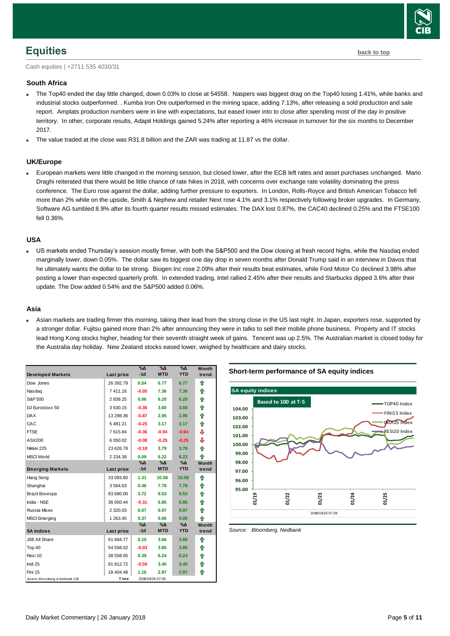

### <span id="page-4-0"></span>**Equities [back to top](#page-0-0)**

Cash equities | +2711 535 4030/31

### **South Africa**

- The Top40 ended the day little changed, down 0.03% to close at 54558. Naspers was biggest drag on the Top40 losing 1.41%, while banks and industrial stocks outperformed. . Kumba Iron Ore outperformed in the mining space, adding 7.13%, after releasing a sold production and sale report. Amplats production numbers were in line with expectations, but eased lower into to close after spending most of the day in positive territory. In other, corporate results, Adapit Holdings gained 5.24% after reporting a 46% increase in turnover for the six months to December 2017.
- The value traded at the close was R31.8 billion and the ZAR was trading at 11.87 vs the dollar.

### **UK/Europe**

 European markets were little changed in the morning session, but closed lower, after the ECB left rates and asset purchases unchanged. Mario Draghi reiterated that there would be little chance of rate hikes in 2018, with concerns over exchange rate volatility dominating the press conference. The Euro rose against the dollar, adding further pressure to exporters. In London, Rolls-Royce and British American Tobacco fell more than 2% while on the upside, Smith & Nephew and retailer Next rose 4.1% and 3.1% respectively following broker upgrades. In Germany, Software AG tumbled 8.9% after its fourth quarter results missed estimates. The DAX lost 0.87%, the CAC40 declined 0.25% and the FTSE100 fell 0.36%.

### **USA**

 US markets ended Thursday's session mostly firmer, with both the S&P500 and the Dow closing at fresh record highs, while the Nasdaq ended marginally lower, down 0.05%. The dollar saw its biggest one day drop in seven months after Donald Trump said in an interview in Davos that he ultimately wants the dollar to be strong. Biogen Inc rose 2.09% after their results beat estimates, while Ford Motor Co declined 3.98% after posting a lower than expected quarterly profit. In extended trading, Intel rallied 2.45% after their results and Starbucks dipped 3.6% after their update. The Dow added 0.54% and the S&P500 added 0.06%.

### **Asia**

 Asian markets are trading firmer this morning, taking their lead from the strong close in the US last night. In Japan, exporters rose, supported by a stronger dollar. Fujitsu gained more than 2% after announcing they were in talks to sell their mobile phone business. Property and IT stocks lead Hong Kong stocks higher, heading for their seventh straight week of gains. Tencent was up 2.5%. The Australian market is closed today for the Australia day holiday. New Zealand stocks eased lower, weighed by healthcare and dairy stocks.

| <b>Developed Markets</b>        | Last price    | $\sqrt{6\Lambda}$<br>$-1d$ | $\%$ $\Delta$<br><b>MTD</b> | $\%$ $\Delta$<br><b>YTD</b> | <b>Month</b><br>trend |
|---------------------------------|---------------|----------------------------|-----------------------------|-----------------------------|-----------------------|
|                                 |               |                            |                             |                             |                       |
| Dow Jones                       | 26 392.79     | 0.54                       | 6.77                        | 6.77                        | ⇑                     |
| Nasdag                          | 7411.16       | $-0.05$                    | 7.36                        | 7.36                        | ⇑                     |
| S&P 500                         | 2839.25       | 0.06                       | 6.20                        | 6.20                        | ⇑                     |
| DJ Eurostoxx 50                 | 3 630.15      | $-0.36$                    | 3.60                        | 3.60                        | ♠                     |
| <b>DAX</b>                      | 13 298.36     | $-0.87$                    | 2.95                        | 2.95                        | 合                     |
| CAC                             | 5481.21       | $-0.25$                    | 3.17                        | 3.17                        | ♠                     |
| <b>FTSE</b>                     | 7 615.84      | $-0.36$                    | $-0.94$                     | $-0.94$                     | ⊕                     |
| ASX200                          | 6 050.02      | $-0.08$                    | $-0.25$                     | $-0.25$                     | ⊕                     |
| Nikkei 225                      | 23 626.78     | $-0.18$                    | 3.79                        | 3.79                        | ⇑                     |
| <b>MSCI World</b>               | 2 2 3 4 . 3 8 | 0.09                       | 6.22                        | 6.22                        | ♠                     |
|                                 |               | %Δ                         | %Δ                          | $\%$ $\Delta$               | <b>Month</b>          |
| <b>Emerging Markets</b>         | Last price    | $-1d$                      | <b>MTD</b>                  | <b>YTD</b>                  | trend                 |
| Hang Seng                       | 33 083.80     | 1.31                       | 10.58                       | 10.58                       | ⇑                     |
| Shanghai                        | 3 5 64.63     | 0.46                       | 7.78                        | 7.78                        | ⇑                     |
| <b>Brazil Bovespa</b>           | 83 680.00     | 3.72                       | 9.53                        | 9.53                        | ⇑                     |
| India - NSE                     | 36 050.44     | $-0.31$                    | 5.85                        | 5.85                        | ⇑                     |
| <b>Russia Micex</b>             | 2 3 2 0.0 3   | 0.57                       | 9.97                        | 9.97                        | ⇑                     |
| <b>MSCI</b> Emerging            | 1 263.45      | 0.37                       | 9.06                        | 9.06                        | ♠                     |
|                                 |               | %∆                         | %Δ                          | $\%$ $\Delta$               | <b>Month</b>          |
| <b>SA Indices</b>               | Last price    | $-1d$                      | <b>MTD</b>                  | <b>YTD</b>                  | trend                 |
| <b>JSE All Share</b>            | 61 684.77     | 0.10                       | 3.66                        | 3.66                        | ⇑                     |
| Top 40                          | 54 558.02     | $-0.03$                    | 3.85                        | 3.85                        | ⇑                     |
| Resi 10                         | 38 558.05     | 0.39                       | 6.24                        | 6.24                        | ⇑                     |
| Indi 25                         | 81 812.72     | $-0.59$                    | 3.45                        | 3.45                        | ♠                     |
| Fini 15                         | 18 404.48     | 1.16                       | 2.97                        | 2.97                        | ⇑                     |
| Source: Bloomberg & Nedbank CIB | Time          |                            | 2018/01/26 07:28            |                             |                       |

**Short-term performance of SA equity indices**



*Source: Bloomberg, Nedbank*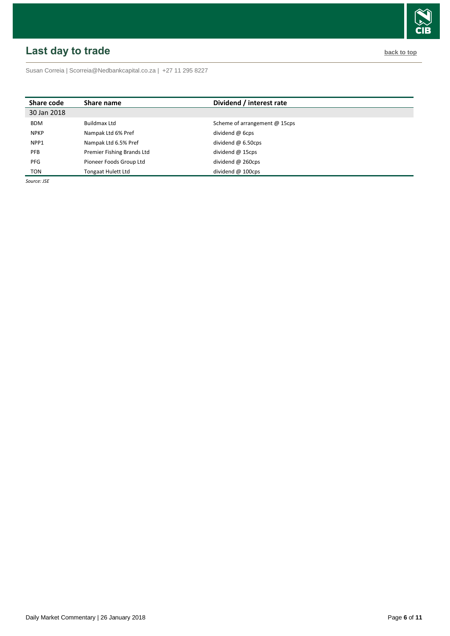# <span id="page-5-0"></span>**Last day to trade back to the contract of the contract of the contract of the contract of the contract of the contract of the contract of the contract of the contract of the contract of the contract of the contract of t**

Susan Correia [| Scorreia@Nedbankcapital.co.za](mailto:Scorreia@Nedbankcapital.co.za) | +27 11 295 8227

| Share code  | Share name                 | Dividend / interest rate      |
|-------------|----------------------------|-------------------------------|
| 30 Jan 2018 |                            |                               |
| <b>BDM</b>  | Buildmax Ltd               | Scheme of arrangement @ 15cps |
| <b>NPKP</b> | Nampak Ltd 6% Pref         | dividend $\omega$ 6cps        |
| NPP1        | Nampak Ltd 6.5% Pref       | dividend $@6.50cps$           |
| <b>PFB</b>  | Premier Fishing Brands Ltd | dividend $@$ 15cps            |
| <b>PFG</b>  | Pioneer Foods Group Ltd    | dividend $\omega$ 260cps      |
| TON         | <b>Tongaat Hulett Ltd</b>  | dividend $@$ 100cps           |

*Source: JSE*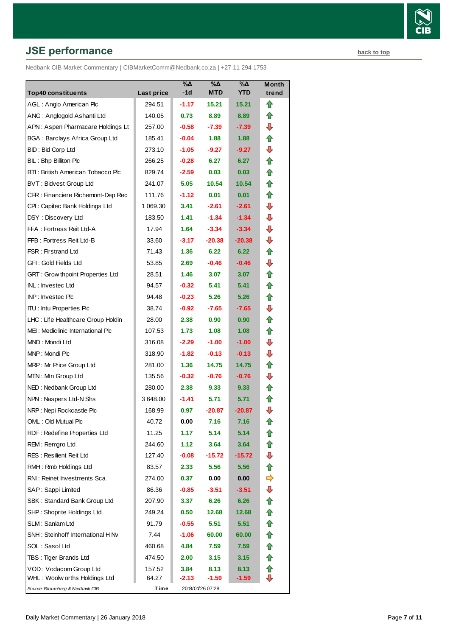# **JSE performance [back to top](#page-0-0) back to top**

Nedbank CIB Market Commentary | CIBMarketComm@Nedbank.co.za | +27 11 294 1753

| <b>Top40 constituents</b>               | Last price | %Δ<br>-1d | %Δ<br>MTD        | $\overline{\mathsf{A}}$<br><b>YTD</b> | Month<br>trend |
|-----------------------------------------|------------|-----------|------------------|---------------------------------------|----------------|
| AGL: Anglo American Plc                 | 294.51     | $-1.17$   | 15.21            | 15.21                                 | ⇑              |
| ANG: Anglogold Ashanti Ltd              | 140.05     | 0.73      | 8.89             | 8.89                                  | ⇑              |
| APN: Aspen Pharmacare Holdings Lt       | 257.00     | $-0.58$   | $-7.39$          | $-7.39$                               | ⊕              |
| <b>BGA: Barclays Africa Group Ltd</b>   | 185.41     | $-0.04$   | 1.88             | 1.88                                  | ⇑              |
| <b>BID: Bid Corp Ltd</b>                | 273.10     | $-1.05$   | $-9.27$          | -9.27                                 | ⇩              |
| BIL: Bhp Billiton Plc                   | 266.25     | $-0.28$   | 6.27             | 6.27                                  | ⇑              |
| BTI: British American Tobacco Plc       | 829.74     | $-2.59$   | 0.03             | 0.03                                  | ⇑              |
| <b>BVT: Bidvest Group Ltd</b>           | 241.07     | 5.05      | 10.54            | 10.54                                 | ⇑              |
| CFR: Financiere Richemont-Dep Rec       | 111.76     | $-1.12$   | 0.01             | 0.01                                  | ⇑              |
| CPI: Capitec Bank Holdings Ltd          | 1 069.30   | 3.41      | $-2.61$          | $-2.61$                               | ⊕              |
| DSY: Discovery Ltd                      | 183.50     | 1.41      | $-1.34$          | $-1.34$                               | ⊕              |
| FFA: Fortress Reit Ltd-A                | 17.94      | 1.64      | $-3.34$          | $-3.34$                               | ⊕              |
| FFB: Fortress Reit Ltd-B                | 33.60      | $-3.17$   | $-20.38$         | $-20.38$                              | ⊕              |
| <b>FSR: Firstrand Ltd</b>               | 71.43      | 1.36      | 6.22             | 6.22                                  | ⇑              |
| GFI: Gold Fields Ltd                    | 53.85      | 2.69      | $-0.46$          | $-0.46$                               | ⊕              |
| <b>GRT: Grow thpoint Properties Ltd</b> | 28.51      | 1.46      | 3.07             | 3.07                                  | ⇑              |
| INL: Investec Ltd                       | 94.57      | $-0.32$   | 5.41             | 5.41                                  | ⇑              |
| <b>INP: Investec Plc</b>                | 94.48      | $-0.23$   | 5.26             | 5.26                                  | ⇑              |
| <b>ITU: Intu Properties Plc</b>         | 38.74      | $-0.92$   | $-7.65$          | $-7.65$                               | ⊕              |
| LHC: Life Healthcare Group Holdin       | 28.00      | 2.38      | 0.90             | 0.90                                  | ⇑              |
| MEI: Mediclinic International Plc       | 107.53     | 1.73      | 1.08             | 1.08                                  | ⇑              |
| MND: Mondi Ltd                          | 316.08     | $-2.29$   | $-1.00$          | $-1.00$                               | ⊕              |
| MNP: Mondi Plc                          | 318.90     | $-1.82$   | $-0.13$          | $-0.13$                               | ⊕              |
| MRP: Mr Price Group Ltd                 | 281.00     | 1.36      | 14.75            | 14.75                                 | ⇑              |
| MTN: Mtn Group Ltd                      | 135.56     | $-0.32$   | $-0.76$          | $-0.76$                               | ⇩              |
| NED: Nedbank Group Ltd                  | 280.00     | 2.38      | 9.33             | 9.33                                  | ⇑              |
| NPN: Naspers Ltd-N Shs                  | 3 648.00   | -1.41     | 5.71             | 5.71                                  | ⇑              |
| NRP: Nepi Rockcastle Plc                | 168.99     | 0.97      | $-20.87$         | $-20.87$                              | ⇩              |
| OML: Old Mutual Plc                     | 40.72      | 0.00      | 7.16             | 7.16                                  | t              |
| RDF: Redefine Properties Ltd            | 11.25      | 1.17      | 5.14             | 5.14                                  |                |
| REM: Remgro Ltd                         | 244.60     | 1.12      | 3.64             | 3.64                                  |                |
| <b>RES: Resilient Reit Ltd</b>          | 127.40     | $-0.08$   | -15.72           | -15.72                                | ⇩              |
| RMH: Rmb Holdings Ltd                   | 83.57      | 2.33      | 5.56             | 5.56                                  |                |
| RNI: Reinet Investments Sca             | 274.00     | 0.37      | 0.00             | 0.00                                  |                |
| SAP: Sappi Limited                      | 86.36      | -0.85     | $-3.51$          | $-3.51$                               | ⇩              |
| SBK: Standard Bank Group Ltd            | 207.90     | 3.37      | 6.26             | 6.26                                  | €              |
| SHP: Shoprite Holdings Ltd              | 249.24     | 0.50      | 12.68            | 12.68                                 | €              |
| SLM: Sanlam Ltd                         | 91.79      | -0.55     | 5.51             | 5.51                                  | ⇑              |
| SNH: Steinhoff International H Nv       | 7.44       | $-1.06$   | 60.00            | 60.00                                 | ⇮              |
| SOL: Sasol Ltd                          | 460.68     | 4.84      | 7.59             | 7.59                                  | ⇑              |
| TBS: Tiger Brands Ltd                   | 474.50     | 2.00      | 3.15             | 3.15                                  | t              |
| VOD: Vodacom Group Ltd                  | 157.52     | 3.84      | 8.13             | 8.13                                  | ⇑              |
| WHL: Woolw orths Holdings Ltd           | 64.27      | $-2.13$   | $-1.59$          | $-1.59$                               | ⇩              |
| Source: Bloomberg & Nedbank CIB         | Time       |           | 2018/01/26 07:28 |                                       |                |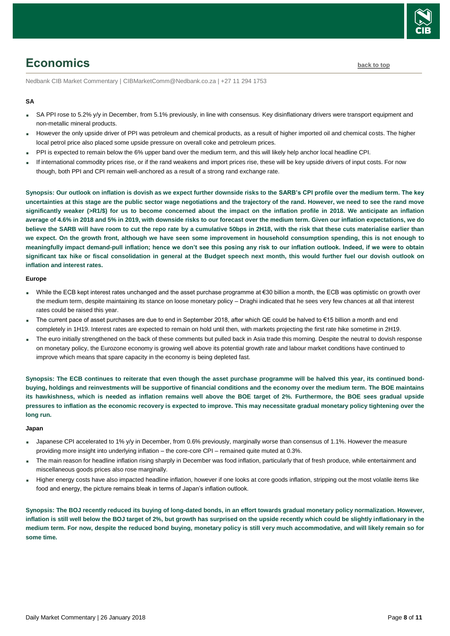

# <span id="page-7-0"></span>**Economics [back to top](#page-0-0)**

Nedbank CIB Market Commentary | CIBMarketComm@Nedbank.co.za | +27 11 294 1753

### **SA**

- SA PPI rose to 5.2% y/y in December, from 5.1% previously, in line with consensus. Key disinflationary drivers were transport equipment and non-metallic mineral products.
- However the only upside driver of PPI was petroleum and chemical products, as a result of higher imported oil and chemical costs. The higher local petrol price also placed some upside pressure on overall coke and petroleum prices.
- PPI is expected to remain below the 6% upper band over the medium term, and this will likely help anchor local headline CPI.
- If international commodity prices rise, or if the rand weakens and import prices rise, these will be key upside drivers of input costs. For now though, both PPI and CPI remain well-anchored as a result of a strong rand exchange rate.

**Synopsis: Our outlook on inflation is dovish as we expect further downside risks to the SARB's CPI profile over the medium term. The key uncertainties at this stage are the public sector wage negotiations and the trajectory of the rand. However, we need to see the rand move significantly weaker (>R1/\$) for us to become concerned about the impact on the inflation profile in 2018. We anticipate an inflation average of 4.6% in 2018 and 5% in 2019, with downside risks to our forecast over the medium term. Given our inflation expectations, we do believe the SARB will have room to cut the repo rate by a cumulative 50bps in 2H18, with the risk that these cuts materialise earlier than we expect. On the growth front, although we have seen some improvement in household consumption spending, this is not enough to meaningfully impact demand-pull inflation; hence we don't see this posing any risk to our inflation outlook. Indeed, if we were to obtain significant tax hike or fiscal consolidation in general at the Budget speech next month, this would further fuel our dovish outlook on inflation and interest rates.**

### **Europe**

- While the ECB kept interest rates unchanged and the asset purchase programme at €30 billion a month, the ECB was optimistic on growth over the medium term, despite maintaining its stance on loose monetary policy – Draghi indicated that he sees very few chances at all that interest rates could be raised this year.
- The current pace of asset purchases are due to end in September 2018, after which QE could be halved to €15 billion a month and end completely in 1H19. Interest rates are expected to remain on hold until then, with markets projecting the first rate hike sometime in 2H19.
- The euro initially strengthened on the back of these comments but pulled back in Asia trade this morning. Despite the neutral to dovish response on monetary policy, the Eurozone economy is growing well above its potential growth rate and labour market conditions have continued to improve which means that spare capacity in the economy is being depleted fast.

**Synopsis: The ECB continues to reiterate that even though the asset purchase programme will be halved this year, its continued bondbuying, holdings and reinvestments will be supportive of financial conditions and the economy over the medium term. The BOE maintains its hawkishness, which is needed as inflation remains well above the BOE target of 2%. Furthermore, the BOE sees gradual upside pressures to inflation as the economic recovery is expected to improve. This may necessitate gradual monetary policy tightening over the long run.**

#### **Japan**

- Japanese CPI accelerated to 1% y/y in December, from 0.6% previously, marginally worse than consensus of 1.1%. However the measure providing more insight into underlying inflation – the core-core CPI – remained quite muted at 0.3%.
- The main reason for headline inflation rising sharply in December was food inflation, particularly that of fresh produce, while entertainment and miscellaneous goods prices also rose marginally.
- Higher energy costs have also impacted headline inflation, however if one looks at core goods inflation, stripping out the most volatile items like food and energy, the picture remains bleak in terms of Japan's inflation outlook.

**Synopsis: The BOJ recently reduced its buying of long-dated bonds, in an effort towards gradual monetary policy normalization. However, inflation is still well below the BOJ target of 2%, but growth has surprised on the upside recently which could be slightly inflationary in the medium term. For now, despite the reduced bond buying, monetary policy is still very much accommodative, and will likely remain so for some time.**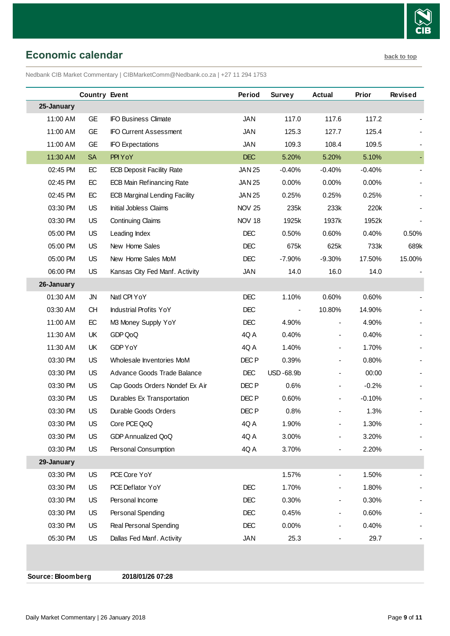

<span id="page-8-0"></span>**Economic calendar [back to top](#page-0-0)** 

Nedbank CIB Market Commentary | CIBMarketComm@Nedbank.co.za | +27 11 294 1753

|            | <b>Country Event</b> |                                      | Period           | <b>Survey</b>  | Actual         | <b>Prior</b> | <b>Revised</b> |
|------------|----------------------|--------------------------------------|------------------|----------------|----------------|--------------|----------------|
| 25-January |                      |                                      |                  |                |                |              |                |
| 11:00 AM   | GE                   | <b>IFO Business Climate</b>          | <b>JAN</b>       | 117.0          | 117.6          | 117.2        |                |
| 11:00 AM   | <b>GE</b>            | <b>IFO Current Assessment</b>        | <b>JAN</b>       | 125.3          | 127.7          | 125.4        |                |
| 11:00 AM   | <b>GE</b>            | <b>IFO Expectations</b>              | <b>JAN</b>       | 109.3          | 108.4          | 109.5        |                |
| 11:30 AM   | <b>SA</b>            | PPI YoY                              | <b>DEC</b>       | 5.20%          | 5.20%          | 5.10%        |                |
| 02:45 PM   | EC                   | <b>ECB Deposit Facility Rate</b>     | <b>JAN 25</b>    | $-0.40%$       | $-0.40%$       | $-0.40%$     |                |
| 02:45 PM   | EC                   | <b>ECB Main Refinancing Rate</b>     | <b>JAN 25</b>    | 0.00%          | 0.00%          | 0.00%        |                |
| 02:45 PM   | EC                   | <b>ECB Marginal Lending Facility</b> | <b>JAN 25</b>    | 0.25%          | 0.25%          | 0.25%        |                |
| 03:30 PM   | <b>US</b>            | Initial Jobless Claims               | <b>NOV 25</b>    | 235k           | 233k           | 220k         |                |
| 03:30 PM   | <b>US</b>            | <b>Continuing Claims</b>             | <b>NOV 18</b>    | 1925k          | 1937k          | 1952k        |                |
| 05:00 PM   | US.                  | Leading Index                        | <b>DEC</b>       | 0.50%          | 0.60%          | 0.40%        | 0.50%          |
| 05:00 PM   | US.                  | New Home Sales                       | <b>DEC</b>       | 675k           | 625k           | 733k         | 689k           |
| 05:00 PM   | <b>US</b>            | New Home Sales MoM                   | <b>DEC</b>       | $-7.90%$       | $-9.30%$       | 17.50%       | 15.00%         |
| 06:00 PM   | US                   | Kansas City Fed Manf. Activity       | <b>JAN</b>       | 14.0           | 16.0           | 14.0         |                |
| 26-January |                      |                                      |                  |                |                |              |                |
| 01:30 AM   | <b>JN</b>            | Natl CPI YoY                         | <b>DEC</b>       | 1.10%          | 0.60%          | 0.60%        |                |
| 03:30 AM   | <b>CH</b>            | <b>Industrial Profits YoY</b>        | <b>DEC</b>       | $\blacksquare$ | 10.80%         | 14.90%       |                |
| 11:00 AM   | EC                   | M3 Money Supply YoY                  | <b>DEC</b>       | 4.90%          | $\blacksquare$ | 4.90%        |                |
| 11:30 AM   | UK                   | GDP QoQ                              | 4Q A             | 0.40%          |                | 0.40%        |                |
| 11:30 AM   | UK                   | GDP YoY                              | 4QA              | 1.40%          | $\blacksquare$ | 1.70%        |                |
| 03:30 PM   | US.                  | Wholesale Inventories MoM            | DEC <sub>P</sub> | 0.39%          | $\blacksquare$ | 0.80%        |                |
| 03:30 PM   | US.                  | Advance Goods Trade Balance          | <b>DEC</b>       | USD-68.9b      |                | 00:00        |                |
| 03:30 PM   | US.                  | Cap Goods Orders Nondef Ex Air       | DEC P            | 0.6%           |                | $-0.2%$      |                |
| 03:30 PM   | US                   | Durables Ex Transportation           | DEC P            | 0.60%          |                | $-0.10%$     |                |
| 03:30 PM   | <b>US</b>            | Durable Goods Orders                 | DEC <sub>P</sub> | 0.8%           |                | 1.3%         |                |
| 03:30 PM   | <b>US</b>            | Core PCE QoQ                         | 4QA              | 1.90%          |                | 1.30%        |                |
| 03:30 PM   | US                   | <b>GDP Annualized QoQ</b>            | 4Q A             | 3.00%          |                | 3.20%        |                |
| 03:30 PM   | US                   | Personal Consumption                 | 4Q A             | 3.70%          |                | 2.20%        |                |
| 29-January |                      |                                      |                  |                |                |              |                |
| 03:30 PM   | <b>US</b>            | PCE Core YoY                         |                  | 1.57%          |                | 1.50%        |                |
| 03:30 PM   | <b>US</b>            | PCE Deflator YoY                     | <b>DEC</b>       | 1.70%          |                | 1.80%        |                |
| 03:30 PM   | <b>US</b>            | Personal Income                      | <b>DEC</b>       | 0.30%          |                | 0.30%        |                |
| 03:30 PM   | <b>US</b>            | Personal Spending                    | <b>DEC</b>       | 0.45%          |                | 0.60%        |                |
| 03:30 PM   | <b>US</b>            | Real Personal Spending               | <b>DEC</b>       | 0.00%          |                | 0.40%        |                |
| 05:30 PM   | US                   | Dallas Fed Manf. Activity            | <b>JAN</b>       | 25.3           |                | 29.7         |                |

**Source: Bloomberg 2018/01/26 07:28**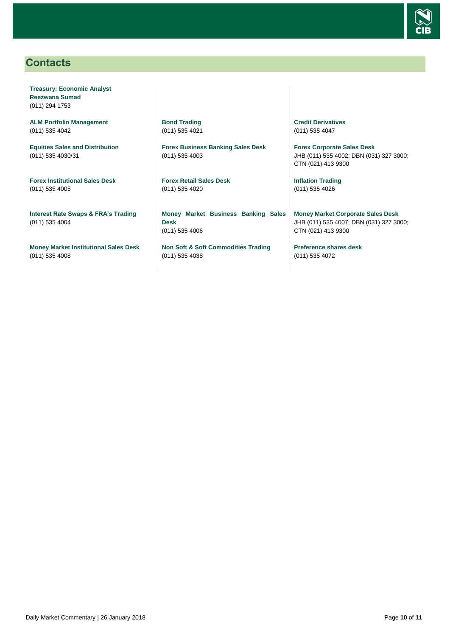

## <span id="page-9-0"></span>**Contacts**

**Treasury: Economic Analyst Reezwana Sumad** (011) 294 1753

**ALM Portfolio Management** (011) 535 4042

**Equities Sales and Distribution** (011) 535 4030/31

**Forex Institutional Sales Desk** (011) 535 4005

**Interest Rate Swaps & FRA's Trading** (011) 535 4004

**Money Market Institutional Sales Desk** (011) 535 4008

**Bond Trading** (011) 535 4021

**Forex Business Banking Sales Desk** (011) 535 4003

**Forex Retail Sales Desk** (011) 535 4020

**Money Market Business Banking Sales Desk** (011) 535 4006

**Non Soft & Soft Commodities Trading** (011) 535 4038

**Credit Derivatives**  (011) 535 4047

**Forex Corporate Sales Desk** JHB (011) 535 4002; DBN (031) 327 3000; CTN (021) 413 9300

**Inflation Trading** (011) 535 4026

**Money Market Corporate Sales Desk** JHB (011) 535 4007; DBN (031) 327 3000; CTN (021) 413 9300

**Preference shares desk** (011) 535 4072